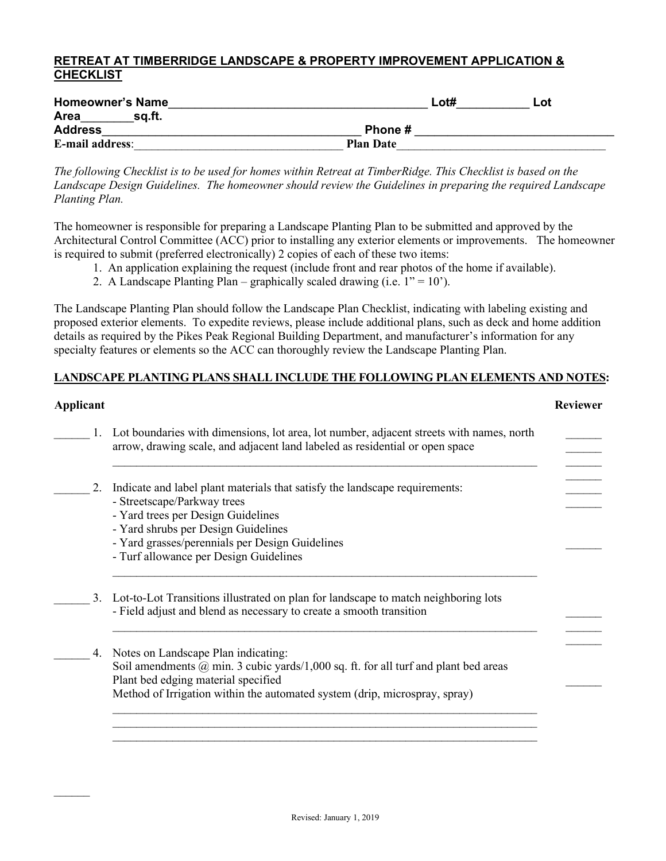## **RETREAT AT TIMBERRIDGE LANDSCAPE & PROPERTY IMPROVEMENT APPLICATION & CHECKLIST**

| <b>Homeowner's Name</b> | Lot#             | Lot |
|-------------------------|------------------|-----|
| <b>Area</b><br>sa.ft.   |                  |     |
| <b>Address</b>          | Phone #          |     |
| <b>E-mail address:</b>  | <b>Plan Date</b> |     |

*The following Checklist is to be used for homes within Retreat at TimberRidge. This Checklist is based on the Landscape Design Guidelines. The homeowner should review the Guidelines in preparing the required Landscape Planting Plan.*

The homeowner is responsible for preparing a Landscape Planting Plan to be submitted and approved by the Architectural Control Committee (ACC) prior to installing any exterior elements or improvements. The homeowner is required to submit (preferred electronically) 2 copies of each of these two items:

- 1. An application explaining the request (include front and rear photos of the home if available).
- 2. A Landscape Planting Plan graphically scaled drawing (i.e.  $1'' = 10'$ ).

The Landscape Planting Plan should follow the Landscape Plan Checklist, indicating with labeling existing and proposed exterior elements. To expedite reviews, please include additional plans, such as deck and home addition details as required by the Pikes Peak Regional Building Department, and manufacturer's information for any specialty features or elements so the ACC can thoroughly review the Landscape Planting Plan.

## **LANDSCAPE PLANTING PLANS SHALL INCLUDE THE FOLLOWING PLAN ELEMENTS AND NOTES:**

| Applicant |                                                                                                                                                                          | <b>Reviewer</b> |
|-----------|--------------------------------------------------------------------------------------------------------------------------------------------------------------------------|-----------------|
|           | Lot boundaries with dimensions, lot area, lot number, adjacent streets with names, north<br>arrow, drawing scale, and adjacent land labeled as residential or open space |                 |
| 2.        | Indicate and label plant materials that satisfy the landscape requirements:                                                                                              |                 |
|           | - Streetscape/Parkway trees                                                                                                                                              |                 |
|           | - Yard trees per Design Guidelines                                                                                                                                       |                 |
|           | - Yard shrubs per Design Guidelines<br>- Yard grasses/perennials per Design Guidelines                                                                                   |                 |
|           | - Turf allowance per Design Guidelines                                                                                                                                   |                 |
| 3.        | Lot-to-Lot Transitions illustrated on plan for landscape to match neighboring lots<br>- Field adjust and blend as necessary to create a smooth transition                |                 |
| 4.        | Notes on Landscape Plan indicating:                                                                                                                                      |                 |
|           | Soil amendments $\omega$ min. 3 cubic yards/1,000 sq. ft. for all turf and plant bed areas                                                                               |                 |
|           | Plant bed edging material specified                                                                                                                                      |                 |
|           | Method of Irrigation within the automated system (drip, microspray, spray)                                                                                               |                 |
|           |                                                                                                                                                                          |                 |
|           |                                                                                                                                                                          |                 |
|           |                                                                                                                                                                          |                 |
|           |                                                                                                                                                                          |                 |

 $\mathcal{L}_\text{max}$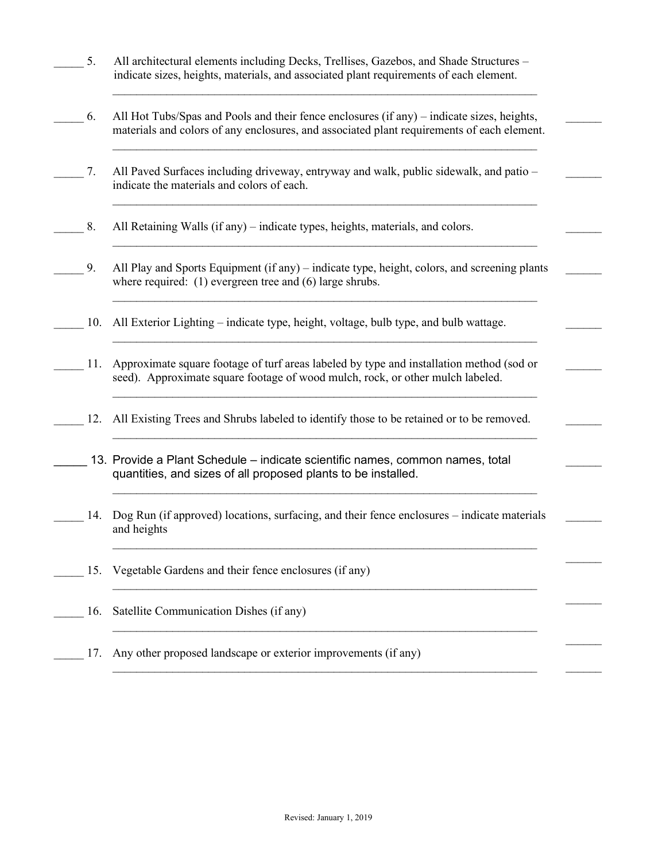- 5. All architectural elements including Decks, Trellises, Gazebos, and Shade Structures indicate sizes, heights, materials, and associated plant requirements of each element.
- \_\_\_\_\_ 6. All Hot Tubs/Spas and Pools and their fence enclosures (if any) indicate sizes, heights, materials and colors of any enclosures, and associated plant requirements of each element.

 $\mathcal{L}_\text{max} = \mathcal{L}_\text{max} = \mathcal{L}_\text{max} = \mathcal{L}_\text{max} = \mathcal{L}_\text{max} = \mathcal{L}_\text{max} = \mathcal{L}_\text{max} = \mathcal{L}_\text{max} = \mathcal{L}_\text{max} = \mathcal{L}_\text{max} = \mathcal{L}_\text{max} = \mathcal{L}_\text{max} = \mathcal{L}_\text{max} = \mathcal{L}_\text{max} = \mathcal{L}_\text{max} = \mathcal{L}_\text{max} = \mathcal{L}_\text{max} = \mathcal{L}_\text{max} = \mathcal{$ 

 $\mathcal{L}_\text{max}$  , and the contract of the contract of the contract of the contract of the contract of the contract of

 $\mathcal{L}_\text{max}$ 

 $\mathcal{L}_\text{max}$ 

 $\mathcal{L}_\text{max}$ 

 $\mathcal{L}_\text{max}$ 

 $\frac{1}{2}$ 

 $\mathcal{L}_\text{max}$ 

 $\mathcal{L}_\text{max}$ 

 $\mathcal{L}_\text{max}$ 

 $\frac{1}{2}$ 

 $\mathcal{L}_\text{max}$  , and the contract of the contract of the contract of the contract of the contract of the contract of

 $\mathcal{L}_\text{max}$  , and the contract of the contract of the contract of the contract of the contract of the contract of

 $\mathcal{L}_\text{max} = \mathcal{L}_\text{max} = \mathcal{L}_\text{max} = \mathcal{L}_\text{max} = \mathcal{L}_\text{max} = \mathcal{L}_\text{max} = \mathcal{L}_\text{max} = \mathcal{L}_\text{max} = \mathcal{L}_\text{max} = \mathcal{L}_\text{max} = \mathcal{L}_\text{max} = \mathcal{L}_\text{max} = \mathcal{L}_\text{max} = \mathcal{L}_\text{max} = \mathcal{L}_\text{max} = \mathcal{L}_\text{max} = \mathcal{L}_\text{max} = \mathcal{L}_\text{max} = \mathcal{$ 

 $\mathcal{L}_\text{max} = \mathcal{L}_\text{max} = \mathcal{L}_\text{max} = \mathcal{L}_\text{max} = \mathcal{L}_\text{max} = \mathcal{L}_\text{max} = \mathcal{L}_\text{max} = \mathcal{L}_\text{max} = \mathcal{L}_\text{max} = \mathcal{L}_\text{max} = \mathcal{L}_\text{max} = \mathcal{L}_\text{max} = \mathcal{L}_\text{max} = \mathcal{L}_\text{max} = \mathcal{L}_\text{max} = \mathcal{L}_\text{max} = \mathcal{L}_\text{max} = \mathcal{L}_\text{max} = \mathcal{$ 

 $\mathcal{L}_\text{max} = \mathcal{L}_\text{max} = \mathcal{L}_\text{max} = \mathcal{L}_\text{max} = \mathcal{L}_\text{max} = \mathcal{L}_\text{max} = \mathcal{L}_\text{max} = \mathcal{L}_\text{max} = \mathcal{L}_\text{max} = \mathcal{L}_\text{max} = \mathcal{L}_\text{max} = \mathcal{L}_\text{max} = \mathcal{L}_\text{max} = \mathcal{L}_\text{max} = \mathcal{L}_\text{max} = \mathcal{L}_\text{max} = \mathcal{L}_\text{max} = \mathcal{L}_\text{max} = \mathcal{$ 

 $\mathcal{L}_\text{max} = \mathcal{L}_\text{max} = \mathcal{L}_\text{max} = \mathcal{L}_\text{max} = \mathcal{L}_\text{max} = \mathcal{L}_\text{max} = \mathcal{L}_\text{max} = \mathcal{L}_\text{max} = \mathcal{L}_\text{max} = \mathcal{L}_\text{max} = \mathcal{L}_\text{max} = \mathcal{L}_\text{max} = \mathcal{L}_\text{max} = \mathcal{L}_\text{max} = \mathcal{L}_\text{max} = \mathcal{L}_\text{max} = \mathcal{L}_\text{max} = \mathcal{L}_\text{max} = \mathcal{$ 

 $\mathcal{L}_\text{max} = \mathcal{L}_\text{max} = \mathcal{L}_\text{max} = \mathcal{L}_\text{max} = \mathcal{L}_\text{max} = \mathcal{L}_\text{max} = \mathcal{L}_\text{max} = \mathcal{L}_\text{max} = \mathcal{L}_\text{max} = \mathcal{L}_\text{max} = \mathcal{L}_\text{max} = \mathcal{L}_\text{max} = \mathcal{L}_\text{max} = \mathcal{L}_\text{max} = \mathcal{L}_\text{max} = \mathcal{L}_\text{max} = \mathcal{L}_\text{max} = \mathcal{L}_\text{max} = \mathcal{$ 

 $\mathcal{L}_\text{max} = \mathcal{L}_\text{max} = \mathcal{L}_\text{max} = \mathcal{L}_\text{max} = \mathcal{L}_\text{max} = \mathcal{L}_\text{max} = \mathcal{L}_\text{max} = \mathcal{L}_\text{max} = \mathcal{L}_\text{max} = \mathcal{L}_\text{max} = \mathcal{L}_\text{max} = \mathcal{L}_\text{max} = \mathcal{L}_\text{max} = \mathcal{L}_\text{max} = \mathcal{L}_\text{max} = \mathcal{L}_\text{max} = \mathcal{L}_\text{max} = \mathcal{L}_\text{max} = \mathcal{$ 

 $\mathcal{L}_\text{max} = \mathcal{L}_\text{max} = \mathcal{L}_\text{max} = \mathcal{L}_\text{max} = \mathcal{L}_\text{max} = \mathcal{L}_\text{max} = \mathcal{L}_\text{max} = \mathcal{L}_\text{max} = \mathcal{L}_\text{max} = \mathcal{L}_\text{max} = \mathcal{L}_\text{max} = \mathcal{L}_\text{max} = \mathcal{L}_\text{max} = \mathcal{L}_\text{max} = \mathcal{L}_\text{max} = \mathcal{L}_\text{max} = \mathcal{L}_\text{max} = \mathcal{L}_\text{max} = \mathcal{$ 

 $\mathcal{L}_\text{max}$  , and the contract of the contract of the contract of the contract of the contract of the contract of

- \_\_\_\_\_ 7. All Paved Surfaces including driveway, entryway and walk, public sidewalk, and patio indicate the materials and colors of each.
- 8. All Retaining Walls (if any) indicate types, heights, materials, and colors.
- \_\_\_\_\_ 9. All Play and Sports Equipment (if any) indicate type, height, colors, and screening plants where required: (1) evergreen tree and (6) large shrubs.
- 10. All Exterior Lighting indicate type, height, voltage, bulb type, and bulb wattage.
- \_\_\_\_\_ 11. Approximate square footage of turf areas labeled by type and installation method (sod or seed). Approximate square footage of wood mulch, rock, or other mulch labeled.
- 12. All Existing Trees and Shrubs labeled to identify those to be retained or to be removed.
	- 13. Provide a Plant Schedule indicate scientific names, common names, total quantities, and sizes of all proposed plants to be installed.
	- \_\_\_\_\_ 14. Dog Run (if approved) locations, surfacing, and their fence enclosures indicate materials and heights
- 15. Vegetable Gardens and their fence enclosures (if any)
- 16. Satellite Communication Dishes (if any)
- 17. Any other proposed landscape or exterior improvements (if any)